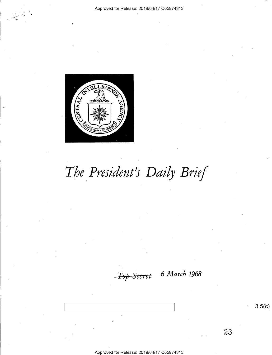

# The President's Daily Brief

6 March 1968

23

Approved for Release: 2019/04/17 C05974313

 $3.5(c)$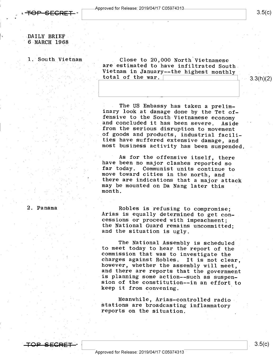## DAILY BRIEF<br>6 MARCH 1968

~

1. South Vietnam

. Close to 20,000 North Vietnamese<br>are estimated to have infiltrated South<br>Vietnam in January--the highest monthly<br>total of the war.<br>3:3(h)(2)

The US Embassy has taken a prelim-<br>inary look at damage done by the Tet of-<br>fensive to the South Vietnamese economy<br>and concluded it has been severe. Aside<br>from the serious disruption to movement<br>of goods and products, ind

As for the offensive itself, there<br>have been no major clashes reported so<br>far today. Communist units continue to<br>move toward cities in the north, and<br>there are indications that a major attack<br>may be mounted on Da Nang late

### 2. Panama

OP SECRET

Robles is refusing to compromise;<br>Arias is equally determined to get con-<br>cessions or proceed with impeachment;<br>the National Guard remains uncommitted;<br>and the situation is ugly.

The National Assembly is scheduled<br>to meet today to hear the report of the<br>commission that was to investigate the<br>charges against Robles. It is not clear,<br>however, whether the assembly will meet,<br>and there are reports that sion of the constitution--in an effort to keep it from convening.

Meanwhile, Arias-controlled radio-<br>stations are broadcasting inflammatory<br>reports on the situation.

\_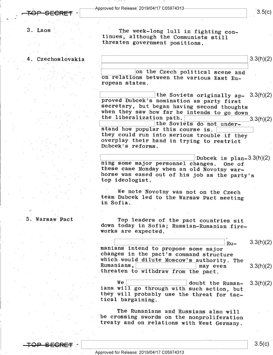$3.5(c)$ 

 $3.$  Laos

4. Czechoslovakia

The week-long lull in fighting con-<br>tinues, although the Communists still<br>threaten government positions.

 $\frac{3.3(11)(2)}{2}$ 

on the Czech political scene and on relations between the various East Eu- ropean states.

Ine Soviets originally ap-3.3(h)(2)<br>proved Dubcek's nomination as party first<br>secretary, but began having second thoughts<br>when they saw how far he intends to go down<br>the liberalization path.<br>the Soviets do not under-<br>stand

Dubcek is plan-3.3(h)(2) ning some major personnel changes. One of these came Monday when an old Novotny war-<br>horse was eased out of his job as the party's top ideologist.

We note Novotny was not on the Czech<br>team Dubcek led to the Warsaw Pact meeting<br>in Sofia.

» 5. Warsaw Pact

 $\mathcal{L}$  . The set of the set of the set of the set of the set of the set of the set of the set of the set of the set of the set of the set of the set of the set of the set of the set of the set of the set of the set of t

Top leaders of the pact countries sit down today in Sofia; Russian-Rumanian fire- works are expected. <sup>A</sup>

 $\frac{1}{\pi}$   $\frac{1}{\pi}$   $\frac{1}{\pi}$   $\frac{1}{\pi}$   $\frac{1}{\pi}$   $\frac{1}{\pi}$   $\frac{1}{\pi}$   $\frac{1}{\pi}$   $\frac{1}{\pi}$   $\frac{1}{\pi}$   $\frac{1}{\pi}$   $\frac{1}{\pi}$   $\frac{1}{\pi}$   $\frac{1}{\pi}$   $\frac{1}{\pi}$   $\frac{1}{\pi}$   $\frac{1}{\pi}$   $\frac{1}{\pi}$   $\frac{1}{\pi}$   $\frac{1}{\pi}$  manians intend to propose some major changes in the pact's command structure which would dilute Moscow's authority. The Rumanians,  $\frac{1}{\text{max}}$  even 3.3(h)(2) threaten to withdraw from the pact.

We<br>
ians will go through with such action, but<br>
they will probably use the threat for tac-<br>
tical bargaining.

The Rumanians and Russians also will be crossing swords on the nonproliferation treaty and on relations with West Germany.

SEGRE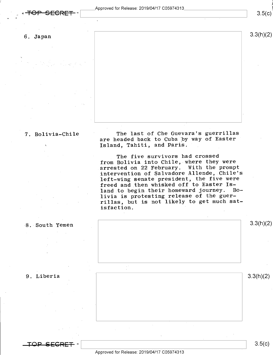$\ddot{\phantom{1}}$ 

6. Japan 3.3(h)(2)

7. Bolivia-Chile  $\begin{array}{c}$  The last of Che Guevara's guerrillas  $\begin{array}{c}$  are headed back to Cuba by way of Easter Island, Tahiti, and Paris.

> The five survivors had crossed from Bolivia into Chile, where they were arrested on 22 February. With the prompt intervention of Salvadore Allende, Chile's left-wing senate president, the five were freed and then whisked off to Easter Is-<br>land to begin their homeward journey. Boland to begin their homeward journey. livia is protesting release of the guerrillas, but is not likely to get much satisfaction.



Approved for Release: 2019/O4/17 CO5974313

 $\frac{\rm S.5(k)}{\rm S.5(k)}$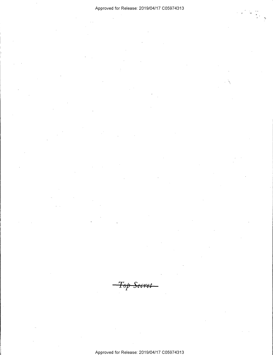### Approved for Release: 2019/04/17 C05974313

<del>Secret</del>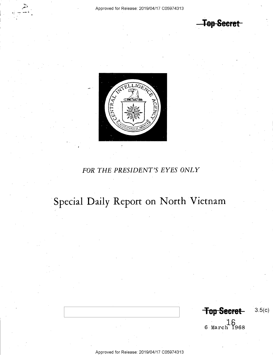**Top Secret** 



## FOR THE PRESIDENT'S EYES ONLY

## Special Daily Report on North Vietnam

**Top Secret**  $3.5(c)$ 

 $16$  March 1968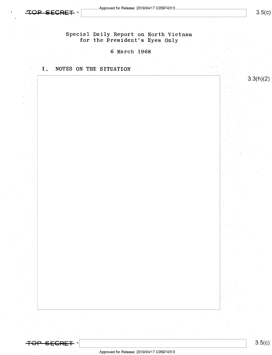

 $3.3(h)(2)$ 



### 6-March 1968

### I. NOTES ON THE SITUATION



 $\blacksquare$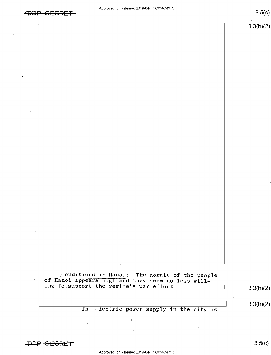|                                                                                              | 3.3(h)(2) |
|----------------------------------------------------------------------------------------------|-----------|
|                                                                                              |           |
|                                                                                              |           |
|                                                                                              |           |
|                                                                                              |           |
|                                                                                              |           |
|                                                                                              |           |
|                                                                                              |           |
|                                                                                              |           |
|                                                                                              |           |
|                                                                                              |           |
|                                                                                              |           |
|                                                                                              |           |
|                                                                                              |           |
|                                                                                              |           |
|                                                                                              |           |
|                                                                                              |           |
|                                                                                              |           |
|                                                                                              |           |
|                                                                                              |           |
|                                                                                              |           |
|                                                                                              |           |
|                                                                                              |           |
|                                                                                              |           |
| Conditions in Hanoi: The morale of the people                                                |           |
| of Hanoi appears high and they seem no less will-<br>ing to support the regime's war effort. | 3.3(h)(2) |
|                                                                                              |           |
| The electric power supply in the city is                                                     | 3.3(h)(2) |
|                                                                                              |           |
| $-2-$                                                                                        |           |

Approved for Release: 2019/04/17 C05974313

 $\vert$  3.5(c)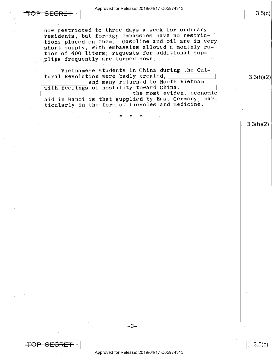## $\overline{\text{SEERET}}$  -  $\overline{\hspace{0.5cm}}$   $\overline{\hspace{0.5cm}}$   $\overline{\text{L}}$

now restricted to three days a week for ordinary residents, but foreign embassies have no restrictions placed on them. Gasoline and oil are in very short supply, with embassies allowed a monthly ration of 400 liters; requests for additional supplies frequently are turned down.

-

Vietnamese students in China during the Cul- $\frac{tural\; Revolution\;were\;badly\; treated,}{and\;many\; returned\;to\;North\; Vietnam}$  $\begin{array}{|l|} \hline \end{array}$  and many returned to North Vietnam<br>with feelings of bestility toward China

with feelings of hostility toward China. $[$  $\overbrace{\hspace{2.5cm}}$  the most evident economic aid in Hanoi is that supplied by East Germany, particularly in the form of bicycles and medicine.

\* \* \* ,

 $-3-$ 

 $3.5(c)$ 

 $3.3(h)(2)$ 

 $3.3(h)(2)$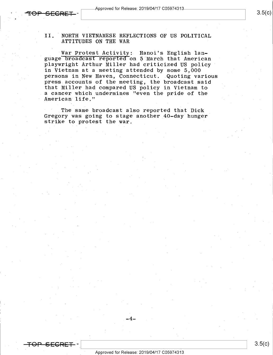Approved for Release: 2019/04/17 C05974313<br> **Example 2019/04/17**<br> **Example 2019/04/17** 

<del>SECRET</del>

### II. ANORTH VIETNAMESE REFLECTIONS OF US POLITICAL ATTITUDES ON THE WAR

War Protest Activity: Hanoi's English language broadcast reported'on 5 March that American playwright Arthur Miller had criticized US policy<br>in Vietnam at a meeting attended by some 5,000 persons in New Haven, Connecticut. Quoting various press accounts of the meeting, the broadcast said that Miller had compared US policy in Vietnam to <sup>a</sup>cancer which undermines "even the pride of the American life."

The same broadcast also reported that Dick Gregory was going to stage another 40-day hunger strike to protest the war.

\_.4\_